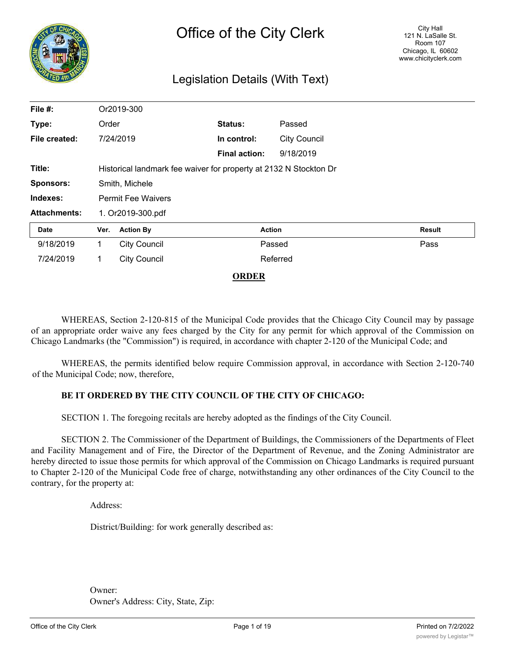

# Legislation Details (With Text)

| File #:             |                                                                   | Or2019-300          |                      |                     |        |  |
|---------------------|-------------------------------------------------------------------|---------------------|----------------------|---------------------|--------|--|
| Type:               | Order                                                             |                     | <b>Status:</b>       | Passed              |        |  |
| File created:       |                                                                   | 7/24/2019           | In control:          | <b>City Council</b> |        |  |
|                     |                                                                   |                     | <b>Final action:</b> | 9/18/2019           |        |  |
| Title:              | Historical landmark fee waiver for property at 2132 N Stockton Dr |                     |                      |                     |        |  |
| <b>Sponsors:</b>    | Smith, Michele                                                    |                     |                      |                     |        |  |
| Indexes:            | <b>Permit Fee Waivers</b>                                         |                     |                      |                     |        |  |
| <b>Attachments:</b> | 1. Or2019-300.pdf                                                 |                     |                      |                     |        |  |
| <b>Date</b>         | Ver.                                                              | <b>Action By</b>    |                      | <b>Action</b>       | Result |  |
| 9/18/2019           | 1.                                                                | <b>City Council</b> |                      | Passed              | Pass   |  |
| 7/24/2019           | 1                                                                 | <b>City Council</b> |                      | Referred            |        |  |

#### **ORDER**

WHEREAS, Section 2-120-815 of the Municipal Code provides that the Chicago City Council may by passage of an appropriate order waive any fees charged by the City for any permit for which approval of the Commission on Chicago Landmarks (the "Commission") is required, in accordance with chapter 2-120 of the Municipal Code; and

WHEREAS, the permits identified below require Commission approval, in accordance with Section 2-120-740 of the Municipal Code; now, therefore,

#### **BE IT ORDERED BY THE CITY COUNCIL OF THE CITY OF CHICAGO:**

SECTION 1. The foregoing recitals are hereby adopted as the findings of the City Council.

SECTION 2. The Commissioner of the Department of Buildings, the Commissioners of the Departments of Fleet and Facility Management and of Fire, the Director of the Department of Revenue, and the Zoning Administrator are hereby directed to issue those permits for which approval of the Commission on Chicago Landmarks is required pursuant to Chapter 2-120 of the Municipal Code free of charge, notwithstanding any other ordinances of the City Council to the contrary, for the property at:

Address:

District/Building: for work generally described as:

Owner: Owner's Address: City, State, Zip: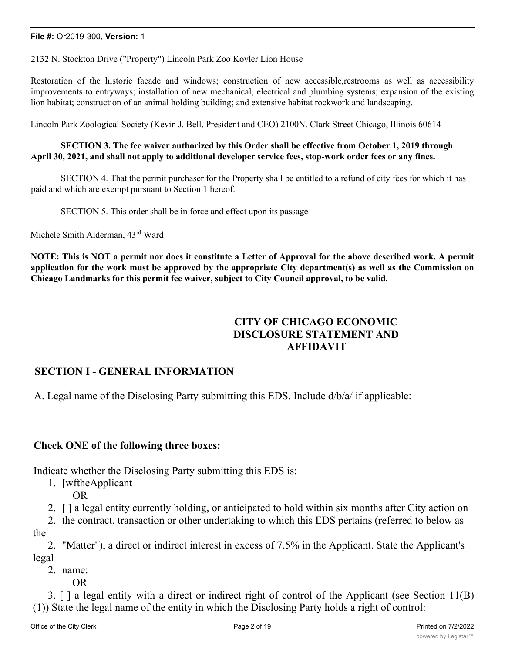2132 N. Stockton Drive ("Property") Lincoln Park Zoo Kovler Lion House

Restoration of the historic facade and windows; construction of new accessible,restrooms as well as accessibility improvements to entryways; installation of new mechanical, electrical and plumbing systems; expansion of the existing lion habitat; construction of an animal holding building; and extensive habitat rockwork and landscaping.

Lincoln Park Zoological Society (Kevin J. Bell, President and CEO) 2100N. Clark Street Chicago, Illinois 60614

#### **SECTION 3. The fee waiver authorized by this Order shall be effective from October 1, 2019 through April 30, 2021, and shall not apply to additional developer service fees, stop-work order fees or any fines.**

SECTION 4. That the permit purchaser for the Property shall be entitled to a refund of city fees for which it has paid and which are exempt pursuant to Section 1 hereof.

SECTION 5. This order shall be in force and effect upon its passage

Michele Smith Alderman, 43rd Ward

NOTE: This is NOT a permit nor does it constitute a Letter of Approval for the above described work. A permit application for the work must be approved by the appropriate City department(s) as well as the Commission on **Chicago Landmarks for this permit fee waiver, subject to City Council approval, to be valid.**

# **CITY OF CHICAGO ECONOMIC DISCLOSURE STATEMENT AND AFFIDAVIT**

#### **SECTION I - GENERAL INFORMATION**

A. Legal name of the Disclosing Party submitting this EDS. Include d/b/a/ if applicable:

#### **Check ONE of the following three boxes:**

Indicate whether the Disclosing Party submitting this EDS is:

- 1. [wftheApplicant
	- OR
- 2. [ ] a legal entity currently holding, or anticipated to hold within six months after City action on

2. the contract, transaction or other undertaking to which this EDS pertains (referred to below as the

2. "Matter"), a direct or indirect interest in excess of 7.5% in the Applicant. State the Applicant's legal

2. name:

OR

3. [ ] a legal entity with a direct or indirect right of control of the Applicant (see Section 11(B) (1)) State the legal name of the entity in which the Disclosing Party holds a right of control: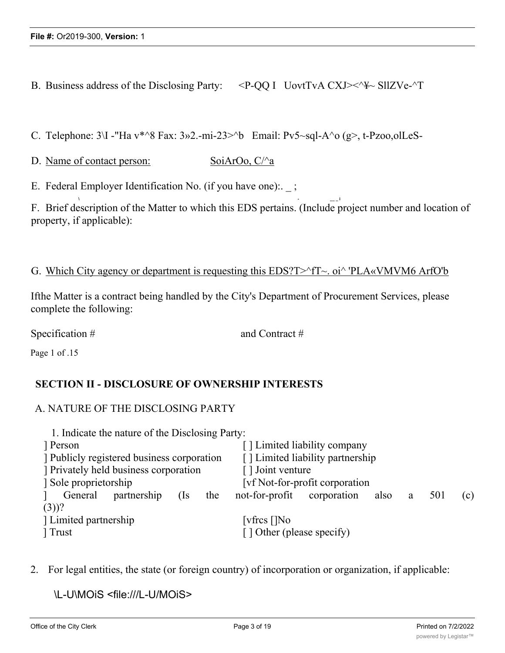B. Business address of the Disclosing Party:  $\langle P-QQ|I \rangle$  UovtTvA CXJ $\langle \rangle \langle \rangle$  SllZVe- $\langle \rangle$ T

C. Telephone:  $3\Upsilon$  -"Ha v\*^8 Fax:  $3\omega$ 2.-mi-23>^b Email: Pv5~sql-A^o (g>, t-Pzoo,olLeS-

**\ - \_\_ \_ i**

D. Name of contact person: SoiArOo, C/ $\alpha$ 

E. Federal Employer Identification No. (if you have one):  $\cdot$ ;

F. Brief description of the Matter to which this EDS pertains. (Include project number and location of property, if applicable):

#### G. Which City agency or department is requesting this EDS?T>^fT~. oi^ 'PLA«VMVM6 ArfO'b

Ifthe Matter is a contract being handled by the City's Department of Procurement Services, please complete the following:

Specification # and Contract #

Page 1 of .15

# **SECTION II - DISCLOSURE OF OWNERSHIP INTERESTS**

# A. NATURE OF THE DISCLOSING PARTY

| 1. Indicate the nature of the Disclosing Party: |                                                          |  |  |  |  |
|-------------------------------------------------|----------------------------------------------------------|--|--|--|--|
| Person                                          | [] Limited liability company                             |  |  |  |  |
| Publicly registered business corporation        | [] Limited liability partnership                         |  |  |  |  |
| Privately held business corporation             | [] Joint venture                                         |  |  |  |  |
| Sole proprietorship                             | [vf Not-for-profit corporation]                          |  |  |  |  |
| General<br>partnership<br>(Is<br>the            | not-for-profit<br>corporation<br>501<br>also<br>(c)<br>a |  |  |  |  |
| $(3)$ ?                                         |                                                          |  |  |  |  |
| Limited partnership                             | [vfres []No                                              |  |  |  |  |
| Trust                                           | [] Other (please specify)                                |  |  |  |  |

2. For legal entities, the state (or foreign country) of incorporation or organization, if applicable:

\L-U\MOiS <file:///L-U/MOiS>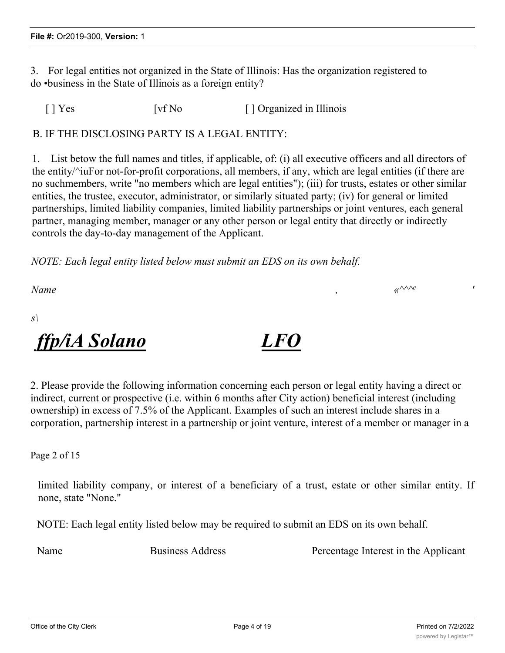3. For legal entities not organized in the State of Illinois: Has the organization registered to do •business in the State of Illinois as a foreign entity?

[ ] Yes [vf No [ ] Organized in Illinois

B. IF THE DISCLOSING PARTY IS A LEGAL ENTITY:

1. List betow the full names and titles, if applicable, of: (i) all executive officers and all directors of the entity/^iuFor not-for-profit corporations, all members, if any, which are legal entities (if there are no suchmembers, write "no members which are legal entities"); (iii) for trusts, estates or other similar entities, the trustee, executor, administrator, or similarly situated party; (iv) for general or limited partnerships, limited liability companies, limited liability partnerships or joint ventures, each general partner, managing member, manager or any other person or legal entity that directly or indirectly controls the day-to-day management of the Applicant.

*NOTE: Each legal entity listed below must submit an EDS on its own behalf.*

*Name , «^^^e '*

*s\*

*ffp/iA Solano LFO*

2. Please provide the following information concerning each person or legal entity having a direct or indirect, current or prospective (i.e. within 6 months after City action) beneficial interest (including ownership) in excess of 7.5% of the Applicant. Examples of such an interest include shares in a corporation, partnership interest in a partnership or joint venture, interest of a member or manager in a

Page 2 of 15

limited liability company, or interest of a beneficiary of a trust, estate or other similar entity. If none, state "None."

NOTE: Each legal entity listed below may be required to submit an EDS on its own behalf.

Name Business Address **Percentage Interest in the Applicant**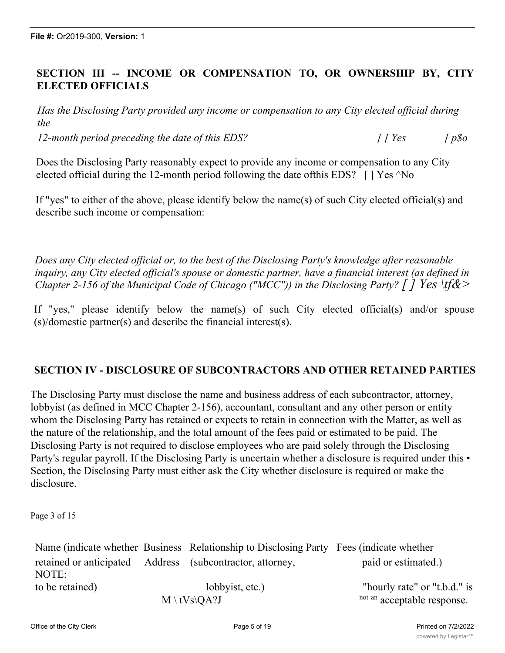# **SECTION III -- INCOME OR COMPENSATION TO, OR OWNERSHIP BY, CITY ELECTED OFFICIALS**

*Has the Disclosing Party provided any income or compensation to any City elected official during the*

*12-month period preceding the date of this EDS? [ ] Yes [ p\$o*

Does the Disclosing Party reasonably expect to provide any income or compensation to any City elected official during the 12-month period following the date of this EDS?  $\lceil \cdot \rceil$  Yes  $\land$  No

If "yes" to either of the above, please identify below the name(s) of such City elected official(s) and describe such income or compensation:

*Does any City elected official or, to the best of the Disclosing Party's knowledge after reasonable inquiry, any City elected official's spouse or domestic partner, have a financial interest (as defined in Chapter 2-156 of the Municipal Code of Chicago ("MCC")) in the Disclosing Party? [ ] Yes \tf&>*

If "yes," please identify below the name(s) of such City elected official(s) and/or spouse (s)/domestic partner(s) and describe the financial interest(s).

# **SECTION IV - DISCLOSURE OF SUBCONTRACTORS AND OTHER RETAINED PARTIES**

The Disclosing Party must disclose the name and business address of each subcontractor, attorney, lobbyist (as defined in MCC Chapter 2-156), accountant, consultant and any other person or entity whom the Disclosing Party has retained or expects to retain in connection with the Matter, as well as the nature of the relationship, and the total amount of the fees paid or estimated to be paid. The Disclosing Party is not required to disclose employees who are paid solely through the Disclosing Party's regular payroll. If the Disclosing Party is uncertain whether a disclosure is required under this • Section, the Disclosing Party must either ask the City whether disclosure is required or make the disclosure.

Page 3 of 15

|                          | Name (indicate whether Business Relationship to Disclosing Party Fees (indicate whether |                              |
|--------------------------|-----------------------------------------------------------------------------------------|------------------------------|
|                          | retained or anticipated Address (subcontractor, attorney,                               | paid or estimated.)          |
| NOTE:<br>to be retained) |                                                                                         |                              |
|                          | lobbyist, etc.)                                                                         | "hourly rate" or "t.b.d." is |
|                          | $M \setminus tVs\QA$ ?J                                                                 | not an acceptable response.  |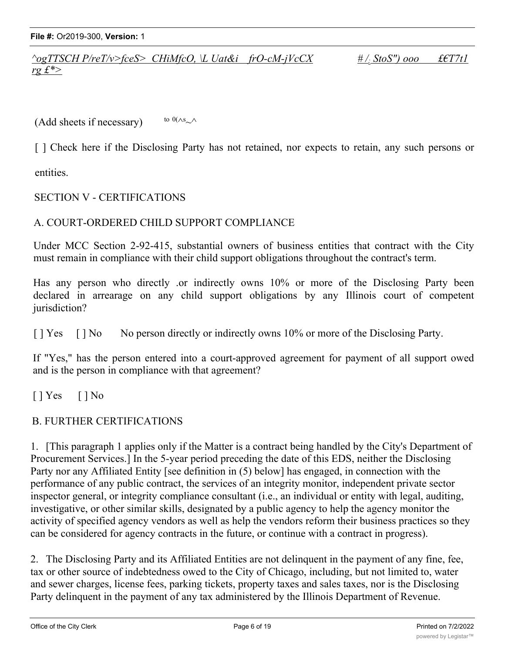**File #:** Or2019-300, **Version:** 1

*^ogTTSCH P/reT/v>fceS> CHiMfcO, \L Uat&i frO-cM-jVcCX # /; StoS") ooo £€T7t1 rg £\*>*

 $(Add sheets if necessary)$ to  $0(\wedge s_{\sim} \wedge$ 

[] Check here if the Disclosing Party has not retained, nor expects to retain, any such persons or

entities.

# SECTION V - CERTIFICATIONS

#### A. COURT-ORDERED CHILD SUPPORT COMPLIANCE

Under MCC Section 2-92-415, substantial owners of business entities that contract with the City must remain in compliance with their child support obligations throughout the contract's term.

Has any person who directly .or indirectly owns 10% or more of the Disclosing Party been declared in arrearage on any child support obligations by any Illinois court of competent jurisdiction?

[ ] Yes [ ] No No person directly or indirectly owns 10% or more of the Disclosing Party.

If "Yes," has the person entered into a court-approved agreement for payment of all support owed and is the person in compliance with that agreement?

 $[ ]$  Yes  $[ ]$  No

# B. FURTHER CERTIFICATIONS

1. [This paragraph 1 applies only if the Matter is a contract being handled by the City's Department of Procurement Services.] In the 5-year period preceding the date of this EDS, neither the Disclosing Party nor any Affiliated Entity [see definition in (5) below] has engaged, in connection with the performance of any public contract, the services of an integrity monitor, independent private sector inspector general, or integrity compliance consultant (i.e., an individual or entity with legal, auditing, investigative, or other similar skills, designated by a public agency to help the agency monitor the activity of specified agency vendors as well as help the vendors reform their business practices so they can be considered for agency contracts in the future, or continue with a contract in progress).

2. The Disclosing Party and its Affiliated Entities are not delinquent in the payment of any fine, fee, tax or other source of indebtedness owed to the City of Chicago, including, but not limited to, water and sewer charges, license fees, parking tickets, property taxes and sales taxes, nor is the Disclosing Party delinquent in the payment of any tax administered by the Illinois Department of Revenue.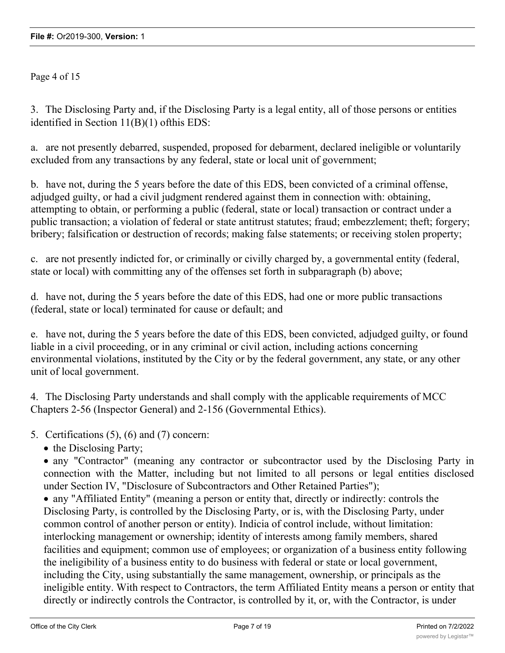Page 4 of 15

3. The Disclosing Party and, if the Disclosing Party is a legal entity, all of those persons or entities identified in Section 11(B)(1) ofthis EDS:

a. are not presently debarred, suspended, proposed for debarment, declared ineligible or voluntarily excluded from any transactions by any federal, state or local unit of government;

b. have not, during the 5 years before the date of this EDS, been convicted of a criminal offense, adjudged guilty, or had a civil judgment rendered against them in connection with: obtaining, attempting to obtain, or performing a public (federal, state or local) transaction or contract under a public transaction; a violation of federal or state antitrust statutes; fraud; embezzlement; theft; forgery; bribery; falsification or destruction of records; making false statements; or receiving stolen property;

c. are not presently indicted for, or criminally or civilly charged by, a governmental entity (federal, state or local) with committing any of the offenses set forth in subparagraph (b) above;

d. have not, during the 5 years before the date of this EDS, had one or more public transactions (federal, state or local) terminated for cause or default; and

e. have not, during the 5 years before the date of this EDS, been convicted, adjudged guilty, or found liable in a civil proceeding, or in any criminal or civil action, including actions concerning environmental violations, instituted by the City or by the federal government, any state, or any other unit of local government.

4. The Disclosing Party understands and shall comply with the applicable requirements of MCC Chapters 2-56 (Inspector General) and 2-156 (Governmental Ethics).

5. Certifications (5), (6) and (7) concern:

• the Disclosing Party;

· any "Contractor" (meaning any contractor or subcontractor used by the Disclosing Party in connection with the Matter, including but not limited to all persons or legal entities disclosed under Section IV, "Disclosure of Subcontractors and Other Retained Parties");

· any "Affiliated Entity" (meaning a person or entity that, directly or indirectly: controls the Disclosing Party, is controlled by the Disclosing Party, or is, with the Disclosing Party, under common control of another person or entity). Indicia of control include, without limitation: interlocking management or ownership; identity of interests among family members, shared facilities and equipment; common use of employees; or organization of a business entity following the ineligibility of a business entity to do business with federal or state or local government, including the City, using substantially the same management, ownership, or principals as the ineligible entity. With respect to Contractors, the term Affiliated Entity means a person or entity that directly or indirectly controls the Contractor, is controlled by it, or, with the Contractor, is under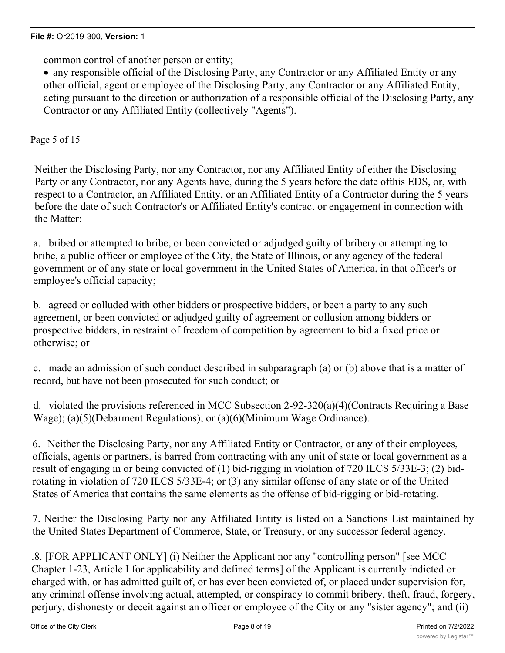common control of another person or entity;

· any responsible official of the Disclosing Party, any Contractor or any Affiliated Entity or any other official, agent or employee of the Disclosing Party, any Contractor or any Affiliated Entity, acting pursuant to the direction or authorization of a responsible official of the Disclosing Party, any Contractor or any Affiliated Entity (collectively "Agents").

Page 5 of 15

Neither the Disclosing Party, nor any Contractor, nor any Affiliated Entity of either the Disclosing Party or any Contractor, nor any Agents have, during the 5 years before the date ofthis EDS, or, with respect to a Contractor, an Affiliated Entity, or an Affiliated Entity of a Contractor during the 5 years before the date of such Contractor's or Affiliated Entity's contract or engagement in connection with the Matter:

a. bribed or attempted to bribe, or been convicted or adjudged guilty of bribery or attempting to bribe, a public officer or employee of the City, the State of Illinois, or any agency of the federal government or of any state or local government in the United States of America, in that officer's or employee's official capacity;

b. agreed or colluded with other bidders or prospective bidders, or been a party to any such agreement, or been convicted or adjudged guilty of agreement or collusion among bidders or prospective bidders, in restraint of freedom of competition by agreement to bid a fixed price or otherwise; or

c. made an admission of such conduct described in subparagraph (a) or (b) above that is a matter of record, but have not been prosecuted for such conduct; or

d. violated the provisions referenced in MCC Subsection 2-92-320(a)(4)(Contracts Requiring a Base Wage); (a)(5)(Debarment Regulations); or (a)(6)(Minimum Wage Ordinance).

6. Neither the Disclosing Party, nor any Affiliated Entity or Contractor, or any of their employees, officials, agents or partners, is barred from contracting with any unit of state or local government as a result of engaging in or being convicted of (1) bid-rigging in violation of 720 ILCS 5/33E-3; (2) bidrotating in violation of 720 ILCS 5/33E-4; or (3) any similar offense of any state or of the United States of America that contains the same elements as the offense of bid-rigging or bid-rotating.

7. Neither the Disclosing Party nor any Affiliated Entity is listed on a Sanctions List maintained by the United States Department of Commerce, State, or Treasury, or any successor federal agency.

.8. [FOR APPLICANT ONLY] (i) Neither the Applicant nor any "controlling person" [see MCC Chapter 1-23, Article I for applicability and defined terms] of the Applicant is currently indicted or charged with, or has admitted guilt of, or has ever been convicted of, or placed under supervision for, any criminal offense involving actual, attempted, or conspiracy to commit bribery, theft, fraud, forgery, perjury, dishonesty or deceit against an officer or employee of the City or any "sister agency"; and (ii)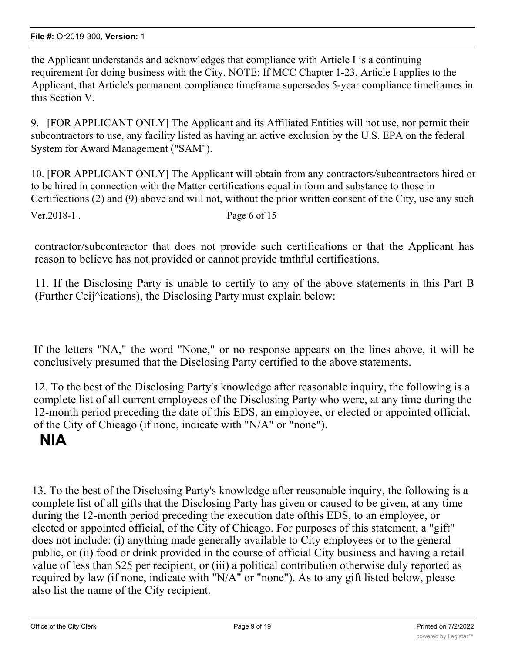the Applicant understands and acknowledges that compliance with Article I is a continuing requirement for doing business with the City. NOTE: If MCC Chapter 1-23, Article I applies to the Applicant, that Article's permanent compliance timeframe supersedes 5-year compliance timeframes in this Section V.

9. [FOR APPLICANT ONLY] The Applicant and its Affiliated Entities will not use, nor permit their subcontractors to use, any facility listed as having an active exclusion by the U.S. EPA on the federal System for Award Management ("SAM").

10. [FOR APPLICANT ONLY] The Applicant will obtain from any contractors/subcontractors hired or to be hired in connection with the Matter certifications equal in form and substance to those in Certifications (2) and (9) above and will not, without the prior written consent of the City, use any such

Ver. 2018-1.

contractor/subcontractor that does not provide such certifications or that the Applicant has reason to believe has not provided or cannot provide tmthful certifications.

11. If the Disclosing Party is unable to certify to any of the above statements in this Part B (Further Ceij^ications), the Disclosing Party must explain below:

If the letters "NA," the word "None," or no response appears on the lines above, it will be conclusively presumed that the Disclosing Party certified to the above statements.

12. To the best of the Disclosing Party's knowledge after reasonable inquiry, the following is a complete list of all current employees of the Disclosing Party who were, at any time during the 12-month period preceding the date of this EDS, an employee, or elected or appointed official, of the City of Chicago (if none, indicate with "N/A" or "none").

# **NlA**

13. To the best of the Disclosing Party's knowledge after reasonable inquiry, the following is a complete list of all gifts that the Disclosing Party has given or caused to be given, at any time during the 12-month period preceding the execution date ofthis EDS, to an employee, or elected or appointed official, of the City of Chicago. For purposes of this statement, a "gift" does not include: (i) anything made generally available to City employees or to the general public, or (ii) food or drink provided in the course of official City business and having a retail value of less than \$25 per recipient, or (iii) a political contribution otherwise duly reported as required by law (if none, indicate with "N/A" or "none"). As to any gift listed below, please also list the name of the City recipient.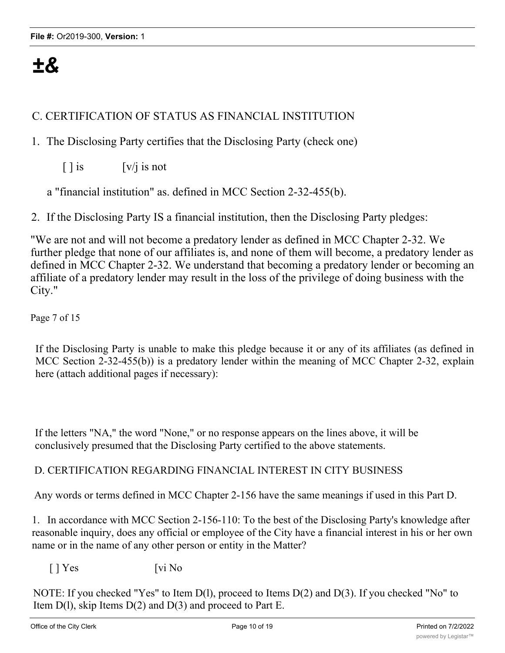# *±&*

# C. CERTIFICATION OF STATUS AS FINANCIAL INSTITUTION

- 1. The Disclosing Party certifies that the Disclosing Party (check one)
	- $\lceil \cdot \rceil$  is  $\lfloor v / j \rfloor$  is not

a "financial institution" as. defined in MCC Section 2-32-455(b).

2. If the Disclosing Party IS a financial institution, then the Disclosing Party pledges:

"We are not and will not become a predatory lender as defined in MCC Chapter 2-32. We further pledge that none of our affiliates is, and none of them will become, a predatory lender as defined in MCC Chapter 2-32. We understand that becoming a predatory lender or becoming an affiliate of a predatory lender may result in the loss of the privilege of doing business with the City."

Page 7 of 15

If the Disclosing Party is unable to make this pledge because it or any of its affiliates (as defined in MCC Section 2-32-455(b)) is a predatory lender within the meaning of MCC Chapter 2-32, explain here (attach additional pages if necessary):

If the letters "NA," the word "None," or no response appears on the lines above, it will be conclusively presumed that the Disclosing Party certified to the above statements.

#### D. CERTIFICATION REGARDING FINANCIAL INTEREST IN CITY BUSINESS

Any words or terms defined in MCC Chapter 2-156 have the same meanings if used in this Part D.

1. In accordance with MCC Section 2-156-110: To the best of the Disclosing Party's knowledge after reasonable inquiry, does any official or employee of the City have a financial interest in his or her own name or in the name of any other person or entity in the Matter?

 $\lceil \cdot \rceil$  Yes [vi No

NOTE: If you checked "Yes" to Item D(l), proceed to Items D(2) and D(3). If you checked "No" to Item  $D(1)$ , skip Items  $D(2)$  and  $D(3)$  and proceed to Part E.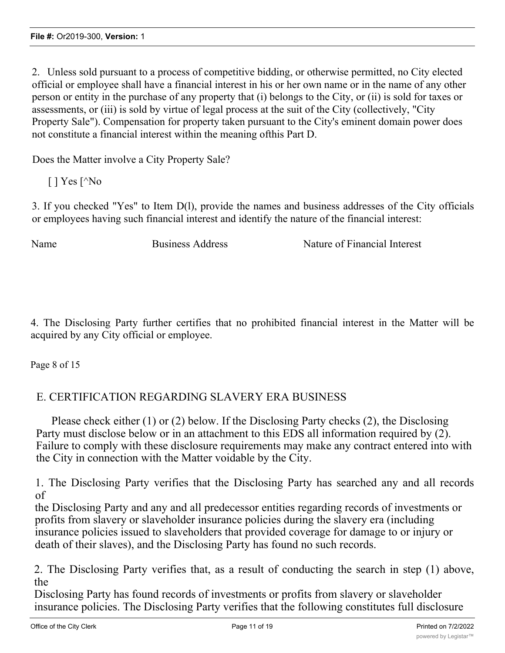2. Unless sold pursuant to a process of competitive bidding, or otherwise permitted, no City elected official or employee shall have a financial interest in his or her own name or in the name of any other person or entity in the purchase of any property that (i) belongs to the City, or (ii) is sold for taxes or assessments, or (iii) is sold by virtue of legal process at the suit of the City (collectively, "City Property Sale"). Compensation for property taken pursuant to the City's eminent domain power does not constitute a financial interest within the meaning ofthis Part D.

Does the Matter involve a City Property Sale?

 $\lceil$  | Yes  $\lceil$ <sup> $\wedge$ </sup>No

3. If you checked "Yes" to Item D(l), provide the names and business addresses of the City officials or employees having such financial interest and identify the nature of the financial interest:

Name Business Address Nature of Financial Interest

4. The Disclosing Party further certifies that no prohibited financial interest in the Matter will be acquired by any City official or employee.

Page 8 of 15

# E. CERTIFICATION REGARDING SLAVERY ERA BUSINESS

Please check either (1) or (2) below. If the Disclosing Party checks (2), the Disclosing Party must disclose below or in an attachment to this EDS all information required by (2). Failure to comply with these disclosure requirements may make any contract entered into with the City in connection with the Matter voidable by the City.

1. The Disclosing Party verifies that the Disclosing Party has searched any and all records of

the Disclosing Party and any and all predecessor entities regarding records of investments or profits from slavery or slaveholder insurance policies during the slavery era (including insurance policies issued to slaveholders that provided coverage for damage to or injury or death of their slaves), and the Disclosing Party has found no such records.

2. The Disclosing Party verifies that, as a result of conducting the search in step (1) above, the

Disclosing Party has found records of investments or profits from slavery or slaveholder insurance policies. The Disclosing Party verifies that the following constitutes full disclosure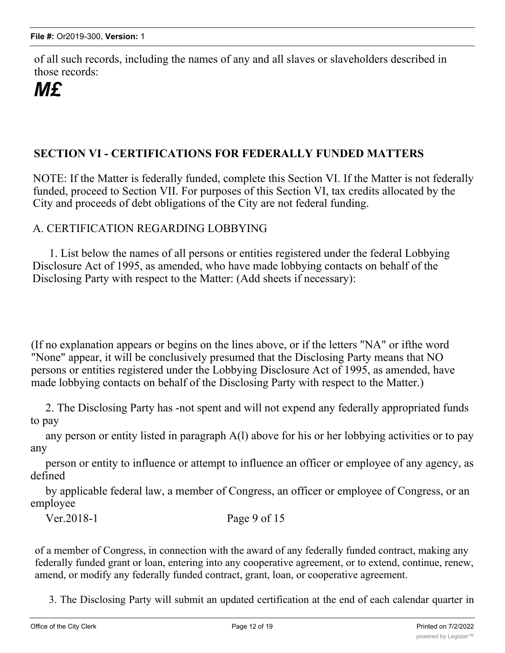of all such records, including the names of any and all slaves or slaveholders described in those records:

# *M£*

# **SECTION VI - CERTIFICATIONS FOR FEDERALLY FUNDED MATTERS**

NOTE: If the Matter is federally funded, complete this Section VI. If the Matter is not federally funded, proceed to Section VII. For purposes of this Section VI, tax credits allocated by the City and proceeds of debt obligations of the City are not federal funding.

# A. CERTIFICATION REGARDING LOBBYING

1. List below the names of all persons or entities registered under the federal Lobbying Disclosure Act of 1995, as amended, who have made lobbying contacts on behalf of the Disclosing Party with respect to the Matter: (Add sheets if necessary):

(If no explanation appears or begins on the lines above, or if the letters "NA" or ifthe word "None" appear, it will be conclusively presumed that the Disclosing Party means that NO persons or entities registered under the Lobbying Disclosure Act of 1995, as amended, have made lobbying contacts on behalf of the Disclosing Party with respect to the Matter.)

2. The Disclosing Party has -not spent and will not expend any federally appropriated funds to pay

any person or entity listed in paragraph A(l) above for his or her lobbying activities or to pay any

person or entity to influence or attempt to influence an officer or employee of any agency, as defined

by applicable federal law, a member of Congress, an officer or employee of Congress, or an employee

Ver.2018-1 Page 9 of 15

of a member of Congress, in connection with the award of any federally funded contract, making any federally funded grant or loan, entering into any cooperative agreement, or to extend, continue, renew, amend, or modify any federally funded contract, grant, loan, or cooperative agreement.

3. The Disclosing Party will submit an updated certification at the end of each calendar quarter in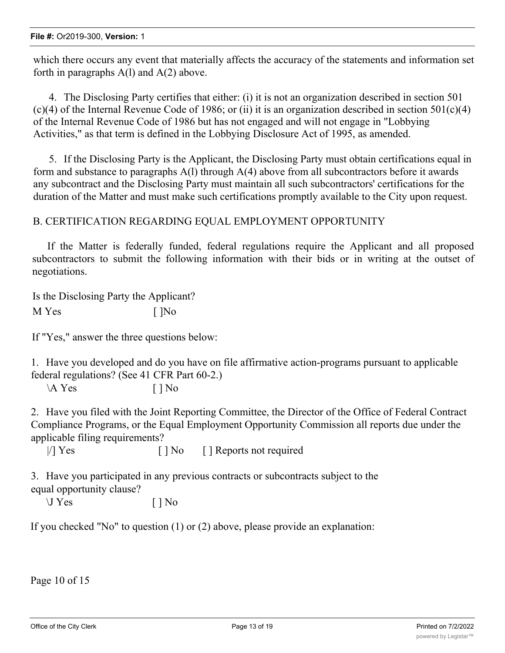which there occurs any event that materially affects the accuracy of the statements and information set forth in paragraphs  $A(1)$  and  $A(2)$  above.

4. The Disclosing Party certifies that either: (i) it is not an organization described in section 501  $(c)(4)$  of the Internal Revenue Code of 1986; or (ii) it is an organization described in section 501 $(c)(4)$ of the Internal Revenue Code of 1986 but has not engaged and will not engage in "Lobbying Activities," as that term is defined in the Lobbying Disclosure Act of 1995, as amended.

5. If the Disclosing Party is the Applicant, the Disclosing Party must obtain certifications equal in form and substance to paragraphs  $A(1)$  through  $A(4)$  above from all subcontractors before it awards any subcontract and the Disclosing Party must maintain all such subcontractors' certifications for the duration of the Matter and must make such certifications promptly available to the City upon request.

#### B. CERTIFICATION REGARDING EQUAL EMPLOYMENT OPPORTUNITY

If the Matter is federally funded, federal regulations require the Applicant and all proposed subcontractors to submit the following information with their bids or in writing at the outset of negotiations.

Is the Disclosing Party the Applicant?

M Yes [ ]No

If "Yes," answer the three questions below:

1. Have you developed and do you have on file affirmative action-programs pursuant to applicable federal regulations? (See 41 CFR Part 60-2.)

 $\mathbf{A}$  Yes  $\Box$  No

2. Have you filed with the Joint Reporting Committee, the Director of the Office of Federal Contract Compliance Programs, or the Equal Employment Opportunity Commission all reports due under the applicable filing requirements?

|/] Yes [ ] No [ ] Reports not required

3. Have you participated in any previous contracts or subcontracts subject to the equal opportunity clause?

 $\bigcup$  Yes  $[ ]$  No

If you checked "No" to question (1) or (2) above, please provide an explanation:

Page 10 of 15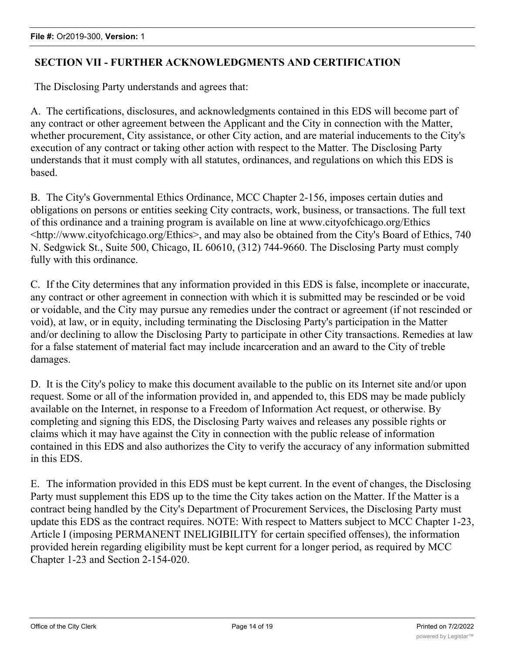# **SECTION VII - FURTHER ACKNOWLEDGMENTS AND CERTIFICATION**

The Disclosing Party understands and agrees that:

A. The certifications, disclosures, and acknowledgments contained in this EDS will become part of any contract or other agreement between the Applicant and the City in connection with the Matter, whether procurement, City assistance, or other City action, and are material inducements to the City's execution of any contract or taking other action with respect to the Matter. The Disclosing Party understands that it must comply with all statutes, ordinances, and regulations on which this EDS is based.

B. The City's Governmental Ethics Ordinance, MCC Chapter 2-156, imposes certain duties and obligations on persons or entities seeking City contracts, work, business, or transactions. The full text of this ordinance and a training program is available on line at www.cityofchicago.org/Ethics <http://www.cityofchicago.org/Ethics>, and may also be obtained from the City's Board of Ethics, 740 N. Sedgwick St., Suite 500, Chicago, IL 60610, (312) 744-9660. The Disclosing Party must comply fully with this ordinance.

C. If the City determines that any information provided in this EDS is false, incomplete or inaccurate, any contract or other agreement in connection with which it is submitted may be rescinded or be void or voidable, and the City may pursue any remedies under the contract or agreement (if not rescinded or void), at law, or in equity, including terminating the Disclosing Party's participation in the Matter and/or declining to allow the Disclosing Party to participate in other City transactions. Remedies at law for a false statement of material fact may include incarceration and an award to the City of treble damages.

D. It is the City's policy to make this document available to the public on its Internet site and/or upon request. Some or all of the information provided in, and appended to, this EDS may be made publicly available on the Internet, in response to a Freedom of Information Act request, or otherwise. By completing and signing this EDS, the Disclosing Party waives and releases any possible rights or claims which it may have against the City in connection with the public release of information contained in this EDS and also authorizes the City to verify the accuracy of any information submitted in this EDS.

E. The information provided in this EDS must be kept current. In the event of changes, the Disclosing Party must supplement this EDS up to the time the City takes action on the Matter. If the Matter is a contract being handled by the City's Department of Procurement Services, the Disclosing Party must update this EDS as the contract requires. NOTE: With respect to Matters subject to MCC Chapter 1-23, Article I (imposing PERMANENT INELIGIBILITY for certain specified offenses), the information provided herein regarding eligibility must be kept current for a longer period, as required by MCC Chapter 1-23 and Section 2-154-020.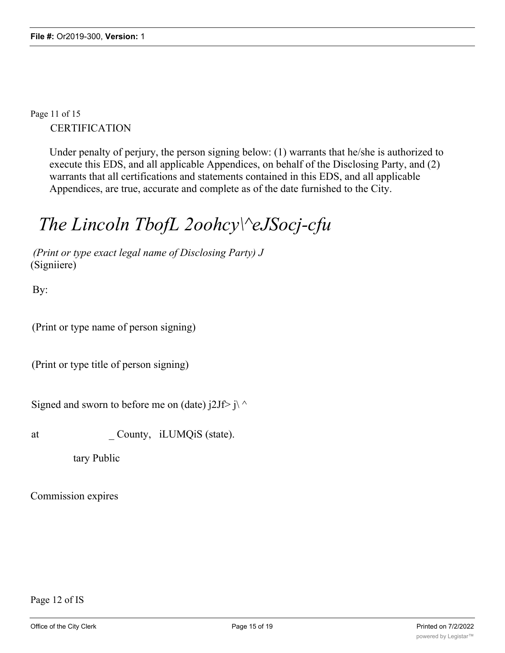Page 11 of 15 **CERTIFICATION** 

> Under penalty of perjury, the person signing below: (1) warrants that he/she is authorized to execute this EDS, and all applicable Appendices, on behalf of the Disclosing Party, and (2) warrants that all certifications and statements contained in this EDS, and all applicable Appendices, are true, accurate and complete as of the date furnished to the City.

# *The Lincoln TbofL 2oohcy\^eJSocj-cfu*

*(Print or type exact legal name of Disclosing Party) J* (Signiiere)

By:

(Print or type name of person signing)

(Print or type title of person signing)

Signed and sworn to before me on (date)  $i2Jf > j \land j$ 

at County, iLUMQiS (state).

tary Public

Commission expires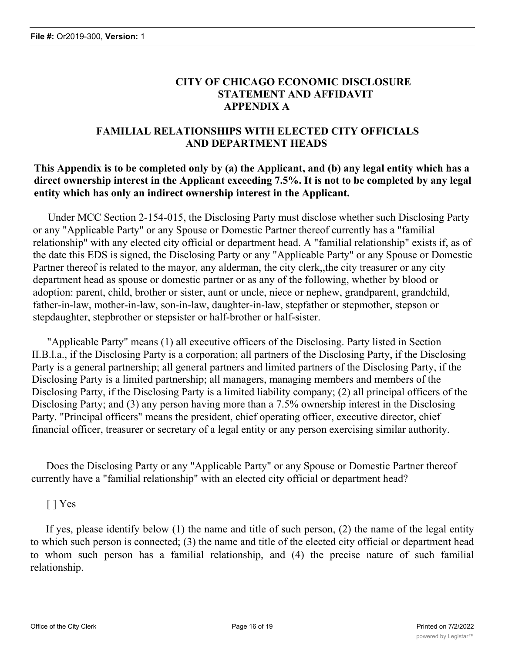# **CITY OF CHICAGO ECONOMIC DISCLOSURE STATEMENT AND AFFIDAVIT APPENDIX A**

# **FAMILIAL RELATIONSHIPS WITH ELECTED CITY OFFICIALS AND DEPARTMENT HEADS**

# **This Appendix is to be completed only by (a) the Applicant, and (b) any legal entity which has a direct ownership interest in the Applicant exceeding 7.5%. It is not to be completed by any legal entity which has only an indirect ownership interest in the Applicant.**

Under MCC Section 2-154-015, the Disclosing Party must disclose whether such Disclosing Party or any "Applicable Party" or any Spouse or Domestic Partner thereof currently has a "familial relationship" with any elected city official or department head. A "familial relationship" exists if, as of the date this EDS is signed, the Disclosing Party or any "Applicable Party" or any Spouse or Domestic Partner thereof is related to the mayor, any alderman, the city clerk,,the city treasurer or any city department head as spouse or domestic partner or as any of the following, whether by blood or adoption: parent, child, brother or sister, aunt or uncle, niece or nephew, grandparent, grandchild, father-in-law, mother-in-law, son-in-law, daughter-in-law, stepfather or stepmother, stepson or stepdaughter, stepbrother or stepsister or half-brother or half-sister.

"Applicable Party" means (1) all executive officers of the Disclosing. Party listed in Section II.B.l.a., if the Disclosing Party is a corporation; all partners of the Disclosing Party, if the Disclosing Party is a general partnership; all general partners and limited partners of the Disclosing Party, if the Disclosing Party is a limited partnership; all managers, managing members and members of the Disclosing Party, if the Disclosing Party is a limited liability company; (2) all principal officers of the Disclosing Party; and (3) any person having more than a 7.5% ownership interest in the Disclosing Party. "Principal officers" means the president, chief operating officer, executive director, chief financial officer, treasurer or secretary of a legal entity or any person exercising similar authority.

Does the Disclosing Party or any "Applicable Party" or any Spouse or Domestic Partner thereof currently have a "familial relationship" with an elected city official or department head?

# [ ] Yes

If yes, please identify below (1) the name and title of such person, (2) the name of the legal entity to which such person is connected; (3) the name and title of the elected city official or department head to whom such person has a familial relationship, and (4) the precise nature of such familial relationship.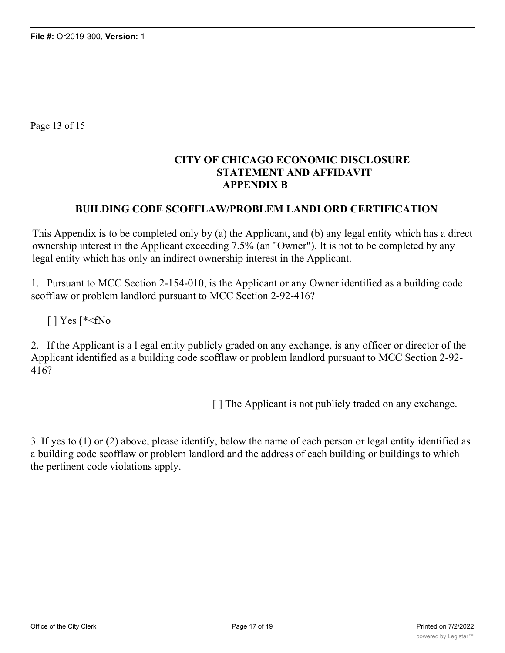Page 13 of 15

# **CITY OF CHICAGO ECONOMIC DISCLOSURE STATEMENT AND AFFIDAVIT APPENDIX B**

#### **BUILDING CODE SCOFFLAW/PROBLEM LANDLORD CERTIFICATION**

This Appendix is to be completed only by (a) the Applicant, and (b) any legal entity which has a direct ownership interest in the Applicant exceeding 7.5% (an "Owner"). It is not to be completed by any legal entity which has only an indirect ownership interest in the Applicant.

1. Pursuant to MCC Section 2-154-010, is the Applicant or any Owner identified as a building code scofflaw or problem landlord pursuant to MCC Section 2-92-416?

 $\lceil$  | Yes  $\lceil$ \*<fNo

2. If the Applicant is a l egal entity publicly graded on any exchange, is any officer or director of the Applicant identified as a building code scofflaw or problem landlord pursuant to MCC Section 2-92- 416?

[ ] The Applicant is not publicly traded on any exchange.

3. If yes to (1) or (2) above, please identify, below the name of each person or legal entity identified as a building code scofflaw or problem landlord and the address of each building or buildings to which the pertinent code violations apply.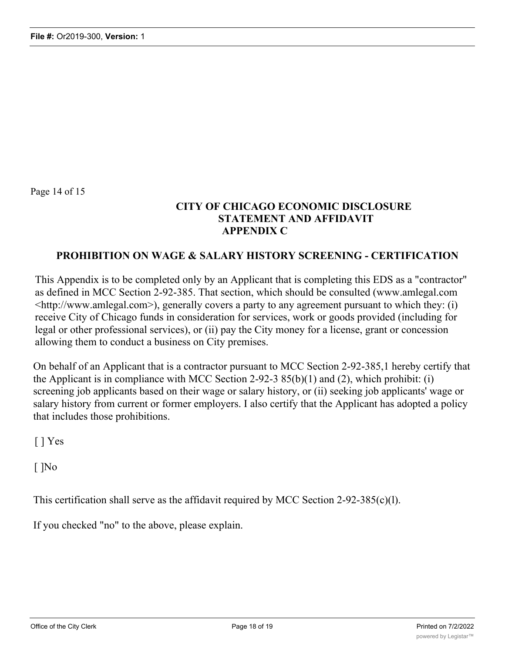Page 14 of 15

# **CITY OF CHICAGO ECONOMIC DISCLOSURE STATEMENT AND AFFIDAVIT APPENDIX C**

#### **PROHIBITION ON WAGE & SALARY HISTORY SCREENING - CERTIFICATION**

This Appendix is to be completed only by an Applicant that is completing this EDS as a "contractor" as defined in MCC Section 2-92-385. That section, which should be consulted (www.amlegal.com <http://www.amlegal.com>), generally covers a party to any agreement pursuant to which they: (i) receive City of Chicago funds in consideration for services, work or goods provided (including for legal or other professional services), or (ii) pay the City money for a license, grant or concession allowing them to conduct a business on City premises.

On behalf of an Applicant that is a contractor pursuant to MCC Section 2-92-385,1 hereby certify that the Applicant is in compliance with MCC Section 2-92-3  $85(b)(1)$  and (2), which prohibit: (i) screening job applicants based on their wage or salary history, or (ii) seeking job applicants' wage or salary history from current or former employers. I also certify that the Applicant has adopted a policy that includes those prohibitions.

 $\lceil$  | Yes

[ ]No

This certification shall serve as the affidavit required by MCC Section 2-92-385(c)(l).

If you checked "no" to the above, please explain.